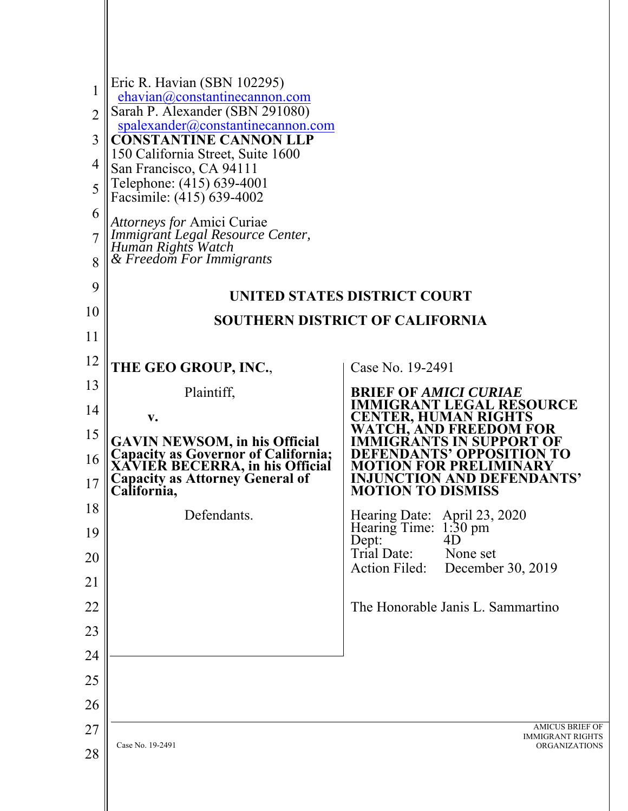| 1<br>$\overline{2}$<br>3<br>4<br>5<br>6<br>7<br>8 | Eric R. Havian (SBN 102295)<br>ehavian@constantinecannon.com<br>Sarah P. Alexander (SBN 291080)<br>spalexander@constantinecannon.com<br><b>CONSTANTINE CANNON LLP</b><br>150 California Street, Suite 1600<br>San Francisco, CA 94111<br>Telephone: (415) 639-4001<br>Facsimile: (415) 639-4002<br>Attorneys for Amici Curiae<br>Immigrant Legal Resource Center,<br>Human Rights Watch<br>& Freedom For Immigrants |                                                                      |
|---------------------------------------------------|---------------------------------------------------------------------------------------------------------------------------------------------------------------------------------------------------------------------------------------------------------------------------------------------------------------------------------------------------------------------------------------------------------------------|----------------------------------------------------------------------|
| 9                                                 |                                                                                                                                                                                                                                                                                                                                                                                                                     | UNITED STATES DISTRICT COURT                                         |
| 10                                                |                                                                                                                                                                                                                                                                                                                                                                                                                     | <b>SOUTHERN DISTRICT OF CALIFORNIA</b>                               |
| 11                                                |                                                                                                                                                                                                                                                                                                                                                                                                                     |                                                                      |
| 12                                                | THE GEO GROUP, INC.,                                                                                                                                                                                                                                                                                                                                                                                                | Case No. 19-2491                                                     |
| 13                                                | Plaintiff,                                                                                                                                                                                                                                                                                                                                                                                                          | BRIEF OF <i>AMICI CURIAE</i>                                         |
| 14                                                | V.                                                                                                                                                                                                                                                                                                                                                                                                                  | IMMIGRANT LEGAL RESOURCE<br>CENTER, HUMAN RIGHTS                     |
| 15<br>16                                          | <b>GAVIN NEWSOM, in his Official</b><br><b>Capacity as Governor of California;</b><br>XAVIER BECERRA, in his Official                                                                                                                                                                                                                                                                                               | WATCH. AND FREEDOM<br>'S' OPPO                                       |
| 17                                                | <b>Capacity as Attorney General of</b><br>California,                                                                                                                                                                                                                                                                                                                                                               | UNCTION AND DEFENDANTS'<br>MOTION TO DISMISS                         |
| 18                                                | Defendants.                                                                                                                                                                                                                                                                                                                                                                                                         | Hearing Date: April 23, 2020                                         |
| 19                                                |                                                                                                                                                                                                                                                                                                                                                                                                                     | Hearing Time: 1:30 pm<br>Dept:<br>4D                                 |
| 20                                                |                                                                                                                                                                                                                                                                                                                                                                                                                     | Trial Date:<br>None set<br><b>Action Filed:</b><br>December 30, 2019 |
| 21                                                |                                                                                                                                                                                                                                                                                                                                                                                                                     |                                                                      |
| 22                                                |                                                                                                                                                                                                                                                                                                                                                                                                                     | The Honorable Janis L. Sammartino                                    |
| 23                                                |                                                                                                                                                                                                                                                                                                                                                                                                                     |                                                                      |
| 24                                                |                                                                                                                                                                                                                                                                                                                                                                                                                     |                                                                      |
| 25                                                |                                                                                                                                                                                                                                                                                                                                                                                                                     |                                                                      |
| 26                                                |                                                                                                                                                                                                                                                                                                                                                                                                                     |                                                                      |
| 27                                                |                                                                                                                                                                                                                                                                                                                                                                                                                     | <b>AMICUS BRIEF OF</b><br><b>IMMIGRANT RIGHTS</b>                    |
| 28                                                | Case No. 19-2491                                                                                                                                                                                                                                                                                                                                                                                                    | <b>ORGANIZATIONS</b>                                                 |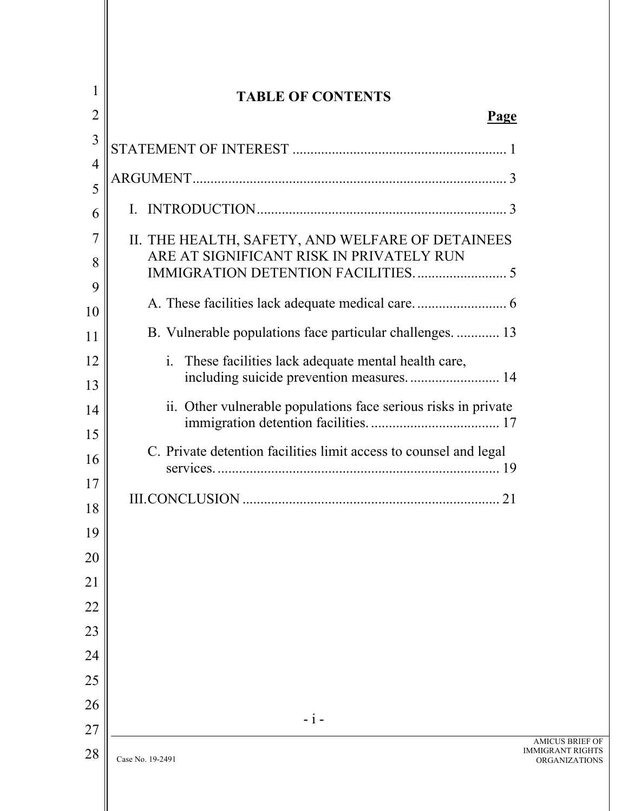| 1              | <b>TABLE OF CONTENTS</b>                                                                     |
|----------------|----------------------------------------------------------------------------------------------|
| $\overline{2}$ | Page                                                                                         |
| 3<br>4         |                                                                                              |
| 5              |                                                                                              |
| 6              |                                                                                              |
| 7<br>8         | II. THE HEALTH, SAFETY, AND WELFARE OF DETAINEES<br>ARE AT SIGNIFICANT RISK IN PRIVATELY RUN |
| 9<br>10        |                                                                                              |
| 11             | B. Vulnerable populations face particular challenges.  13                                    |
| 12             | i. These facilities lack adequate mental health care,                                        |
| 13             | including suicide prevention measures 14                                                     |
| 14<br>15       | ii. Other vulnerable populations face serious risks in private                               |
| 16             | C. Private detention facilities limit access to counsel and legal                            |
| 17<br>18       |                                                                                              |
| 19             |                                                                                              |
| 20             |                                                                                              |
| 21             |                                                                                              |
| 22             |                                                                                              |
| 23             |                                                                                              |
| 24             |                                                                                              |
| 25             |                                                                                              |
| 26             | $- i -$                                                                                      |
| 27             |                                                                                              |
| 28             | $\prod$<br>Case No. 19-2491                                                                  |

AMICUS BRIEF OF IMMIGRANT RIGHTS ORGANIZATIONS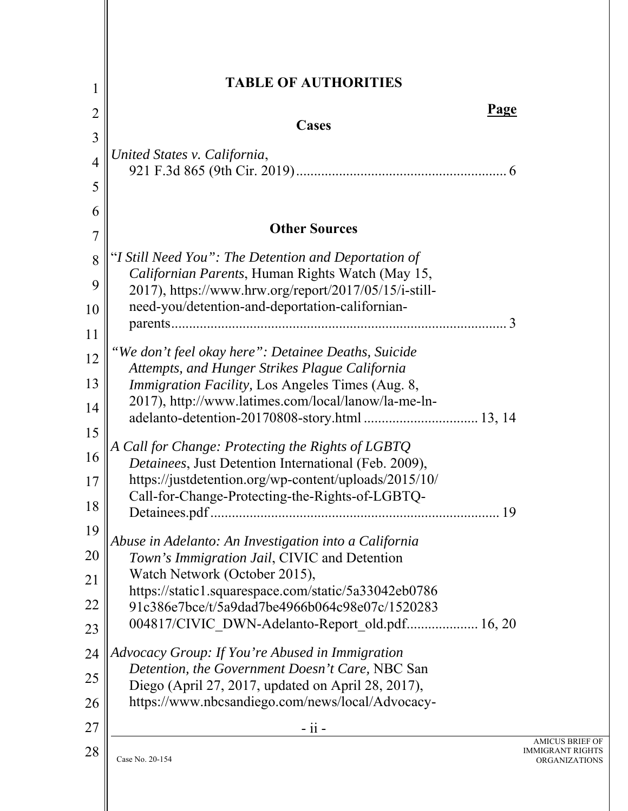| 1              | <b>TABLE OF AUTHORITIES</b>                                                                                   |
|----------------|---------------------------------------------------------------------------------------------------------------|
| $\overline{2}$ | <u>Page</u>                                                                                                   |
| 3              | <b>Cases</b>                                                                                                  |
| $\overline{4}$ | United States v. California,                                                                                  |
| 5              |                                                                                                               |
|                |                                                                                                               |
| 6              | <b>Other Sources</b>                                                                                          |
| 7              |                                                                                                               |
| 8              | "I Still Need You": The Detention and Deportation of<br>Californian Parents, Human Rights Watch (May 15,      |
| 9              | 2017), https://www.hrw.org/report/2017/05/15/i-still-                                                         |
| 10             | need-you/detention-and-deportation-californian-                                                               |
| 11             | 3                                                                                                             |
| 12             | "We don't feel okay here": Detainee Deaths, Suicide                                                           |
|                | Attempts, and Hunger Strikes Plague California                                                                |
| 13             | <i>Immigration Facility</i> , Los Angeles Times (Aug. 8,                                                      |
| 14             | 2017), http://www.latimes.com/local/lanow/la-me-ln-                                                           |
| 15             |                                                                                                               |
| 16             | A Call for Change: Protecting the Rights of LGBTQ                                                             |
| 17             | Detainees, Just Detention International (Feb. 2009),<br>https://justdetention.org/wp-content/uploads/2015/10/ |
|                | Call-for-Change-Protecting-the-Rights-of-LGBTQ-                                                               |
| 18             | 19                                                                                                            |
| 19             | Abuse in Adelanto: An Investigation into a California                                                         |
| 20             | Town's Immigration Jail, CIVIC and Detention                                                                  |
| 21             | Watch Network (October 2015),                                                                                 |
| 22             | https://static1.squarespace.com/static/5a33042eb0786<br>91c386e7bce/t/5a9dad7be4966b064c98e07c/1520283        |
| 23             | 004817/CIVIC DWN-Adelanto-Report old.pdf 16, 20                                                               |
| 24             | Advocacy Group: If You're Abused in Immigration                                                               |
|                | Detention, the Government Doesn't Care, NBC San                                                               |
| 25             | Diego (April 27, 2017, updated on April 28, 2017),                                                            |
| 26             | https://www.nbcsandiego.com/news/local/Advocacy-                                                              |
| 27             | $-ii -$                                                                                                       |
| 28             | <b>IM</b><br>Case No. 20-154                                                                                  |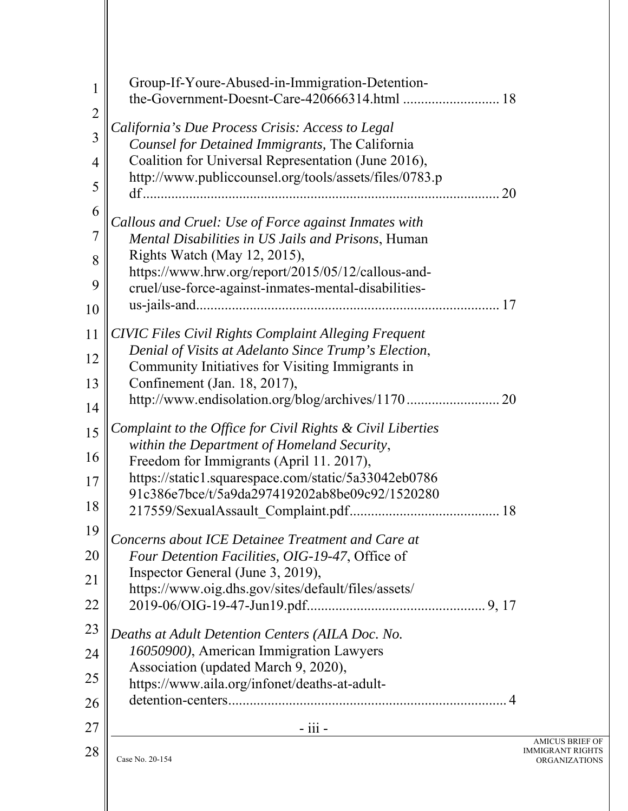| $\mathbf{1}$   | Group-If-Youre-Abused-in-Immigration-Detention-<br>the-Government-Doesnt-Care-420666314.html  18    |
|----------------|-----------------------------------------------------------------------------------------------------|
| $\overline{2}$ |                                                                                                     |
| $\overline{3}$ | California's Due Process Crisis: Access to Legal<br>Counsel for Detained Immigrants, The California |
| 4              | Coalition for Universal Representation (June 2016),                                                 |
| 5              | http://www.publiccounsel.org/tools/assets/files/0783.p                                              |
|                | 20                                                                                                  |
| 6              | Callous and Cruel: Use of Force against Inmates with                                                |
| $\overline{7}$ | Mental Disabilities in US Jails and Prisons, Human                                                  |
| 8              | Rights Watch (May 12, 2015),<br>https://www.hrw.org/report/2015/05/12/callous-and-                  |
| 9              | cruel/use-force-against-inmates-mental-disabilities-                                                |
| 10             |                                                                                                     |
| 11             | <b>CIVIC Files Civil Rights Complaint Alleging Frequent</b>                                         |
|                | Denial of Visits at Adelanto Since Trump's Election,                                                |
| 12             | Community Initiatives for Visiting Immigrants in                                                    |
| 13             | Confinement (Jan. 18, 2017),<br>http://www.endisolation.org/blog/archives/1170<br>20                |
| 14             |                                                                                                     |
| 15             | Complaint to the Office for Civil Rights & Civil Liberties                                          |
| 16             | within the Department of Homeland Security,<br>Freedom for Immigrants (April 11. 2017),             |
| 17             | https://static1.squarespace.com/static/5a33042eb0786                                                |
|                | 91c386e7bce/t/5a9da297419202ab8be09c92/1520280                                                      |
| 18             |                                                                                                     |
| 19             | Concerns about ICE Detainee Treatment and Care at                                                   |
| 20             | Four Detention Facilities, OIG-19-47, Office of                                                     |
| 21             | Inspector General (June 3, 2019),<br>https://www.oig.dhs.gov/sites/default/files/assets/            |
| 22             | 2019-06/OIG-19-47-Jun19.pdf.                                                                        |
| 23             |                                                                                                     |
|                | Deaths at Adult Detention Centers (AILA Doc. No.<br>16050900), American Immigration Lawyers         |
| 24             | Association (updated March 9, 2020),                                                                |
| 25             | https://www.aila.org/infonet/deaths-at-adult-                                                       |
| 26             |                                                                                                     |
| 27             | $-$ iii $-$                                                                                         |
| 28             | II<br>Case No. 20-154                                                                               |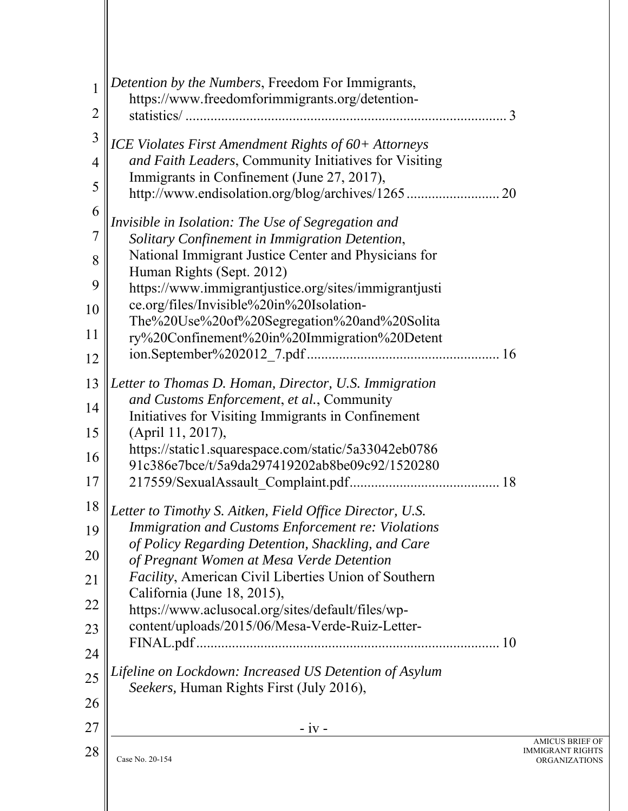| $\mathbf{1}$   | Detention by the Numbers, Freedom For Immigrants,                                                      |
|----------------|--------------------------------------------------------------------------------------------------------|
| $\overline{2}$ | https://www.freedomforimmigrants.org/detention-<br>3                                                   |
| $\overline{3}$ | ICE Violates First Amendment Rights of 60+ Attorneys                                                   |
| $\overline{4}$ | and Faith Leaders, Community Initiatives for Visiting                                                  |
| 5              | Immigrants in Confinement (June 27, 2017),<br>http://www.endisolation.org/blog/archives/1265<br>20     |
| 6              |                                                                                                        |
| $\overline{7}$ | Invisible in Isolation: The Use of Segregation and<br>Solitary Confinement in Immigration Detention,   |
| 8              | National Immigrant Justice Center and Physicians for<br>Human Rights (Sept. 2012)                      |
| 9              | https://www.immigrantjustice.org/sites/immigrantjusti                                                  |
| 10             | ce.org/files/Invisible%20in%20Isolation-                                                               |
| 11             | The%20Use%20of%20Segregation%20and%20Solita<br>ry%20Confinement%20in%20Immigration%20Detent            |
| 12             |                                                                                                        |
| 13             | Letter to Thomas D. Homan, Director, U.S. Immigration                                                  |
| 14             | and Customs Enforcement, et al., Community                                                             |
| 15             | Initiatives for Visiting Immigrants in Confinement<br>(April 11, 2017),                                |
| 16             | https://static1.squarespace.com/static/5a33042eb0786<br>91c386e7bce/t/5a9da297419202ab8be09c92/1520280 |
| 17             |                                                                                                        |
| 18             | Letter to Timothy S. Aitken, Field Office Director, U.S.                                               |
| 19             | <b>Immigration and Customs Enforcement re: Violations</b>                                              |
| 20             | of Policy Regarding Detention, Shackling, and Care<br>of Pregnant Women at Mesa Verde Detention        |
| 21             | <i>Facility</i> , American Civil Liberties Union of Southern                                           |
| 22             | California (June 18, 2015),<br>https://www.aclusocal.org/sites/default/files/wp-                       |
| 23             | content/uploads/2015/06/Mesa-Verde-Ruiz-Letter-                                                        |
| 24             |                                                                                                        |
| 25             | Lifeline on Lockdown: Increased US Detention of Asylum                                                 |
| 26             | Seekers, Human Rights First (July 2016),                                                               |
| 27             | $-iv -$                                                                                                |
| 28             | II<br>Case No. 20-154                                                                                  |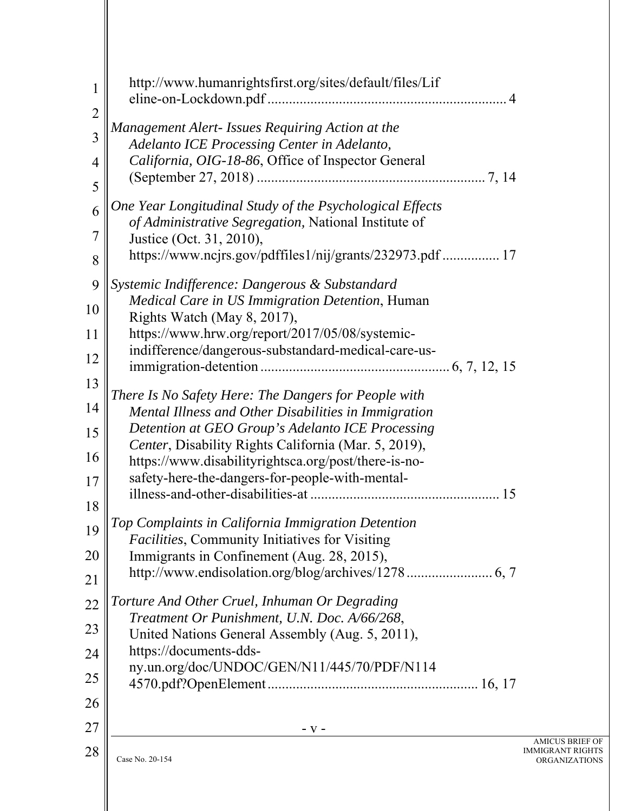| $\mathbf{1}$   | http://www.humanrightsfirst.org/sites/default/files/Lif                                                  |
|----------------|----------------------------------------------------------------------------------------------------------|
| $\overline{2}$ |                                                                                                          |
| $\overline{3}$ | Management Alert- Issues Requiring Action at the                                                         |
| 4              | Adelanto ICE Processing Center in Adelanto,<br>California, OIG-18-86, Office of Inspector General        |
| 5              |                                                                                                          |
| 6              | One Year Longitudinal Study of the Psychological Effects                                                 |
| $\overline{7}$ | of Administrative Segregation, National Institute of<br>Justice (Oct. 31, 2010),                         |
| 8              | https://www.ncjrs.gov/pdffiles1/nij/grants/232973.pdf  17                                                |
| 9              | Systemic Indifference: Dangerous & Substandard                                                           |
| 10             | Medical Care in US Immigration Detention, Human<br>Rights Watch (May 8, 2017),                           |
| 11             | https://www.hrw.org/report/2017/05/08/systemic-                                                          |
| 12             | indifference/dangerous-substandard-medical-care-us-                                                      |
| 13             |                                                                                                          |
|                | There Is No Safety Here: The Dangers for People with                                                     |
| 14             | Mental Illness and Other Disabilities in Immigration                                                     |
| 15             | Detention at GEO Group's Adelanto ICE Processing<br>Center, Disability Rights California (Mar. 5, 2019), |
| 16             | https://www.disabilityrightsca.org/post/there-is-no-                                                     |
| 17             | safety-here-the-dangers-for-people-with-mental-                                                          |
| 18             | 15                                                                                                       |
| 19             | Top Complaints in California Immigration Detention                                                       |
|                | Facilities, Community Initiatives for Visiting                                                           |
| 20             | Immigrants in Confinement (Aug. 28, 2015),                                                               |
| 21             |                                                                                                          |
| 22             | Torture And Other Cruel, Inhuman Or Degrading                                                            |
| 23             | Treatment Or Punishment, U.N. Doc. A/66/268,<br>United Nations General Assembly (Aug. 5, 2011),          |
| 24             | https://documents-dds-                                                                                   |
| 25             | ny.un.org/doc/UNDOC/GEN/N11/445/70/PDF/N114                                                              |
| 26             |                                                                                                          |
|                |                                                                                                          |
| 27             | $-V -$                                                                                                   |
| 28             | II                                                                                                       |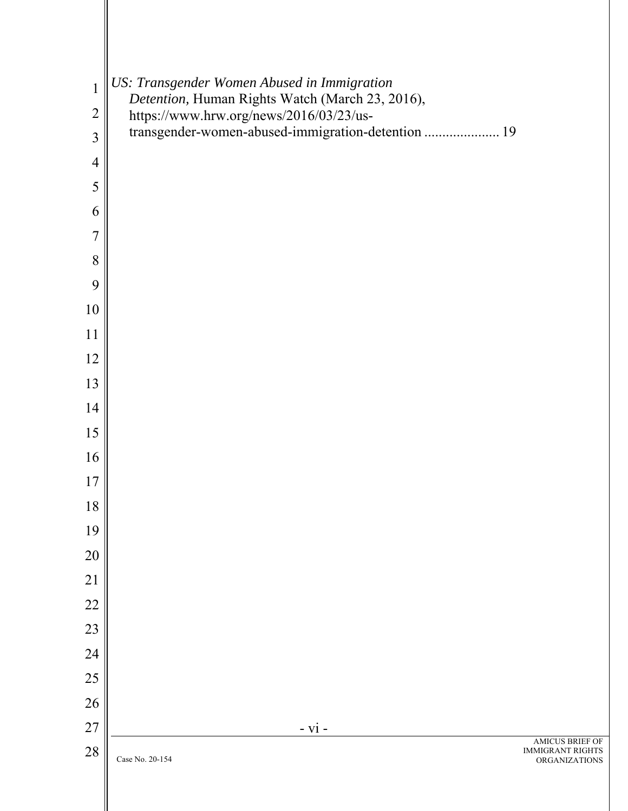| $\mathbf{1}$   | US: Transgender Women Abused in Immigration                                                |
|----------------|--------------------------------------------------------------------------------------------|
| $\overline{2}$ | Detention, Human Rights Watch (March 23, 2016),<br>https://www.hrw.org/news/2016/03/23/us- |
| $\overline{3}$ | transgender-women-abused-immigration-detention  19                                         |
| $\overline{4}$ |                                                                                            |
| 5              |                                                                                            |
| 6              |                                                                                            |
| 7              |                                                                                            |
| 8              |                                                                                            |
| 9              |                                                                                            |
| 10             |                                                                                            |
| 11             |                                                                                            |
| 12             |                                                                                            |
| 13             |                                                                                            |
| 14             |                                                                                            |
| 15             |                                                                                            |
| 16             |                                                                                            |
| 17             |                                                                                            |
| 18             |                                                                                            |
| 19             |                                                                                            |
| 20             |                                                                                            |
| 21             |                                                                                            |
| 22             |                                                                                            |
| 23             |                                                                                            |
| 24             |                                                                                            |
| 25             |                                                                                            |
| 26             |                                                                                            |
| 27             | $- vi -$<br><b>AMICUS BRIEF OF</b>                                                         |
| 28             | <b>IMMIGRANT RIGHTS</b><br>Case No. 20-154<br><b>ORGANIZATIONS</b>                         |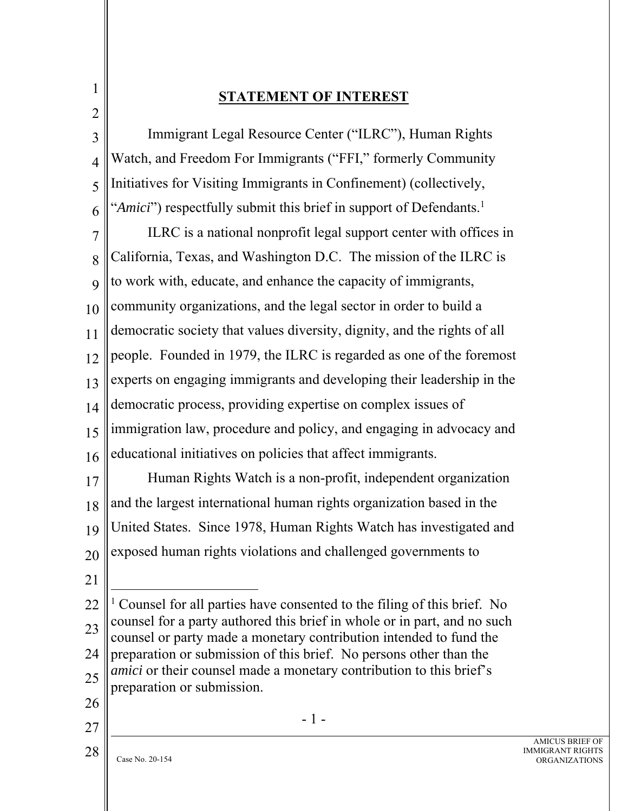# **STATEMENT OF INTEREST**

| $\overline{2}$ |                                                                                                                                                |
|----------------|------------------------------------------------------------------------------------------------------------------------------------------------|
| 3              | Immigrant Legal Resource Center ("ILRC"), Human Rights                                                                                         |
| $\overline{4}$ | Watch, and Freedom For Immigrants ("FFI," formerly Community                                                                                   |
| 5              | Initiatives for Visiting Immigrants in Confinement) (collectively,                                                                             |
| 6              | "Amici") respectfully submit this brief in support of Defendants. <sup>1</sup>                                                                 |
| $\overline{7}$ | ILRC is a national nonprofit legal support center with offices in                                                                              |
| 8              | California, Texas, and Washington D.C. The mission of the ILRC is                                                                              |
| 9              | to work with, educate, and enhance the capacity of immigrants,                                                                                 |
| 10             | community organizations, and the legal sector in order to build a                                                                              |
| 11             | democratic society that values diversity, dignity, and the rights of all                                                                       |
| 12             | people. Founded in 1979, the ILRC is regarded as one of the foremost                                                                           |
| 13             | experts on engaging immigrants and developing their leadership in the                                                                          |
| 14             | democratic process, providing expertise on complex issues of                                                                                   |
| 15             | immigration law, procedure and policy, and engaging in advocacy and                                                                            |
| 16             | educational initiatives on policies that affect immigrants.                                                                                    |
| 17             | Human Rights Watch is a non-profit, independent organization                                                                                   |
| 18             | and the largest international human rights organization based in the                                                                           |
| 19             | United States. Since 1978, Human Rights Watch has investigated and                                                                             |
| 20             | exposed human rights violations and challenged governments to                                                                                  |
| 21             |                                                                                                                                                |
| 22             | <sup>1</sup> Counsel for all parties have consented to the filing of this brief. No                                                            |
| 23             | counsel for a party authored this brief in whole or in part, and no such<br>counsel or party made a monetary contribution intended to fund the |
| 24             | preparation or submission of this brief. No persons other than the                                                                             |
| 25             | amici or their counsel made a monetary contribution to this brief's<br>preparation or submission.                                              |
| 26             |                                                                                                                                                |
| 27             | $-1-$                                                                                                                                          |
| 28             | П<br>Case No. 20-154                                                                                                                           |
|                |                                                                                                                                                |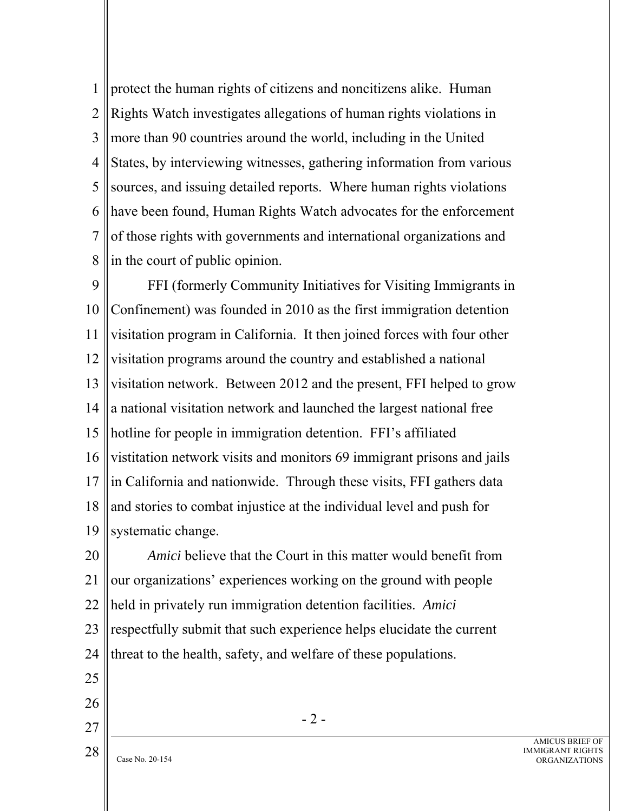1 2 3 4 5 6 7 8 protect the human rights of citizens and noncitizens alike. Human Rights Watch investigates allegations of human rights violations in more than 90 countries around the world, including in the United States, by interviewing witnesses, gathering information from various sources, and issuing detailed reports. Where human rights violations have been found, Human Rights Watch advocates for the enforcement of those rights with governments and international organizations and in the court of public opinion.

9 10 11 12 13 14 15 16 17 18 19 FFI (formerly Community Initiatives for Visiting Immigrants in Confinement) was founded in 2010 as the first immigration detention visitation program in California. It then joined forces with four other visitation programs around the country and established a national visitation network. Between 2012 and the present, FFI helped to grow a national visitation network and launched the largest national free hotline for people in immigration detention. FFI's affiliated vistitation network visits and monitors 69 immigrant prisons and jails in California and nationwide. Through these visits, FFI gathers data and stories to combat injustice at the individual level and push for systematic change.

20 21 22 23 24 *Amici* believe that the Court in this matter would benefit from our organizations' experiences working on the ground with people held in privately run immigration detention facilities. *Amici* respectfully submit that such experience helps elucidate the current threat to the health, safety, and welfare of these populations.

- 25 26
- 27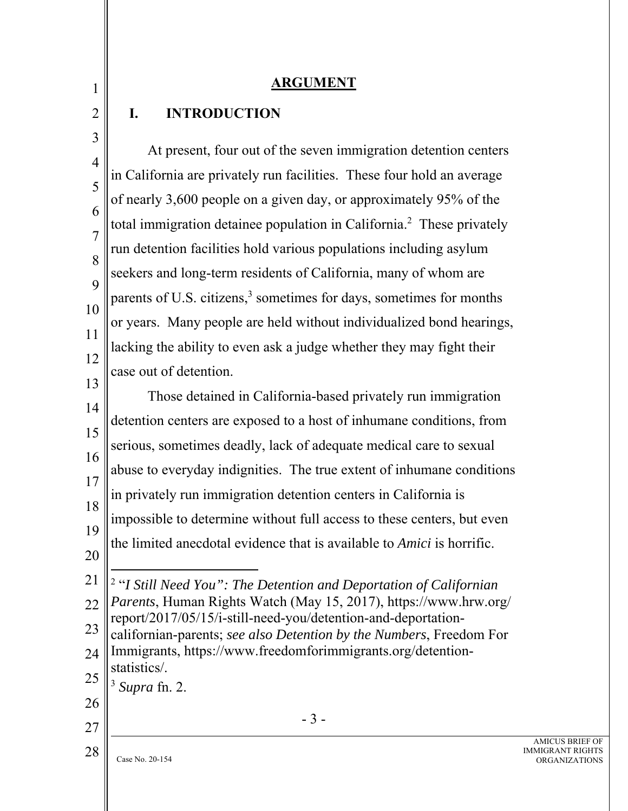#### - 3 - 1 2 3 4 5 6 7 8 9 10 11 12 13 14 15 16 17 18 19 20 21 22 23 24 25 26 27 **ARGUMENT I. INTRODUCTION**  At present, four out of the seven immigration detention centers in California are privately run facilities. These four hold an average of nearly 3,600 people on a given day, or approximately 95% of the total immigration detainee population in California.<sup>2</sup> These privately run detention facilities hold various populations including asylum seekers and long-term residents of California, many of whom are parents of U.S. citizens, $3$  sometimes for days, sometimes for months or years. Many people are held without individualized bond hearings, lacking the ability to even ask a judge whether they may fight their case out of detention. Those detained in California-based privately run immigration detention centers are exposed to a host of inhumane conditions, from serious, sometimes deadly, lack of adequate medical care to sexual abuse to everyday indignities. The true extent of inhumane conditions in privately run immigration detention centers in California is impossible to determine without full access to these centers, but even the limited anecdotal evidence that is available to *Amici* is horrific. <sup>2</sup> "I Still Need You": The Detention and Deportation of Californian *Parents*, Human Rights Watch (May 15, 2017), https://www.hrw.org/ report/2017/05/15/i-still-need-you/detention-and-deportationcalifornian-parents; *see also Detention by the Numbers*, Freedom For Immigrants, https://www.freedomforimmigrants.org/detentionstatistics/. <sup>3</sup> *Supra* fn. 2.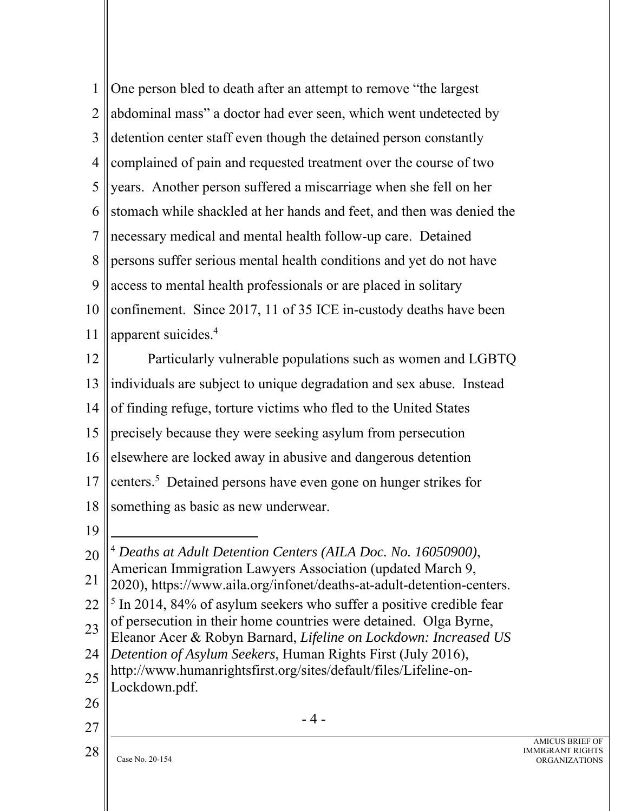| $\mathbf{1}$   | One person bled to death after an attempt to remove "the largest"                                                                     |
|----------------|---------------------------------------------------------------------------------------------------------------------------------------|
| $\overline{2}$ | abdominal mass" a doctor had ever seen, which went undetected by                                                                      |
| 3              | detention center staff even though the detained person constantly                                                                     |
| 4              | complained of pain and requested treatment over the course of two                                                                     |
| 5              | years. Another person suffered a miscarriage when she fell on her                                                                     |
| 6              | stomach while shackled at her hands and feet, and then was denied the                                                                 |
| 7              | necessary medical and mental health follow-up care. Detained                                                                          |
| 8              | persons suffer serious mental health conditions and yet do not have                                                                   |
| 9              | access to mental health professionals or are placed in solitary                                                                       |
| 10             | confinement. Since 2017, 11 of 35 ICE in-custody deaths have been                                                                     |
| 11             | apparent suicides. <sup>4</sup>                                                                                                       |
| 12             | Particularly vulnerable populations such as women and LGBTQ                                                                           |
| 13             | individuals are subject to unique degradation and sex abuse. Instead                                                                  |
| 14             | of finding refuge, torture victims who fled to the United States                                                                      |
| 15             | precisely because they were seeking asylum from persecution                                                                           |
| 16             | elsewhere are locked away in abusive and dangerous detention                                                                          |
| 17             | centers. <sup>5</sup> Detained persons have even gone on hunger strikes for                                                           |
| 18             | something as basic as new underwear.                                                                                                  |
| 19             |                                                                                                                                       |
| 20             | <sup>4</sup> Deaths at Adult Detention Centers (AILA Doc. No. 16050900),                                                              |
| 21             | American Immigration Lawyers Association (updated March 9,<br>2020), https://www.aila.org/infonet/deaths-at-adult-detention-centers.  |
| 22             | $5$ In 2014, 84% of asylum seekers who suffer a positive credible fear                                                                |
| 23             | of persecution in their home countries were detained. Olga Byrne,<br>Eleanor Acer & Robyn Barnard, Lifeline on Lockdown: Increased US |
| 24             | Detention of Asylum Seekers, Human Rights First (July 2016),                                                                          |
| 25             | http://www.humanrightsfirst.org/sites/default/files/Lifeline-on-<br>Lockdown.pdf.                                                     |
| 26             |                                                                                                                                       |
| 27             | $-4-$                                                                                                                                 |
| 28             | П<br>$N_0$ 20                                                                                                                         |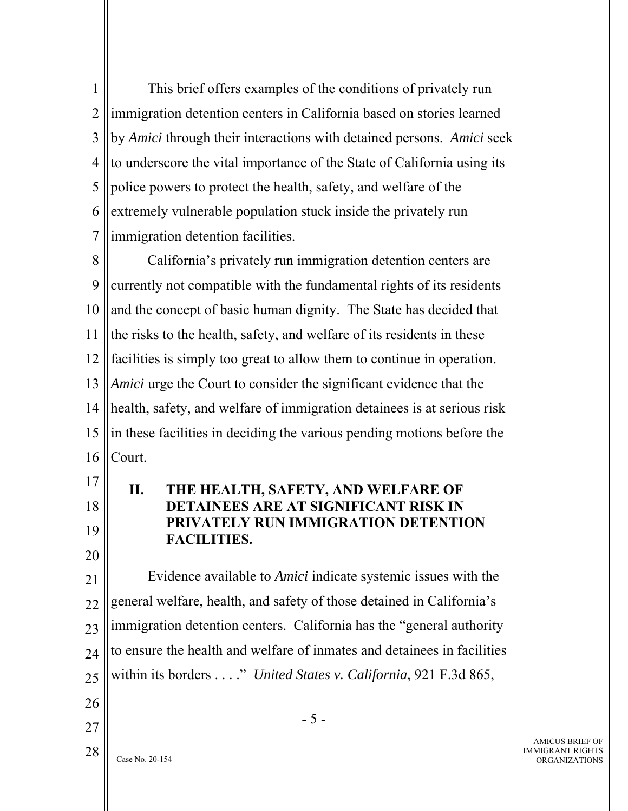1 2 3 4 5 6 7 This brief offers examples of the conditions of privately run immigration detention centers in California based on stories learned by *Amici* through their interactions with detained persons. *Amici* seek to underscore the vital importance of the State of California using its police powers to protect the health, safety, and welfare of the extremely vulnerable population stuck inside the privately run immigration detention facilities.

8 9 10 11 12 13 14 15 16 California's privately run immigration detention centers are currently not compatible with the fundamental rights of its residents and the concept of basic human dignity. The State has decided that the risks to the health, safety, and welfare of its residents in these facilities is simply too great to allow them to continue in operation. *Amici* urge the Court to consider the significant evidence that the health, safety, and welfare of immigration detainees is at serious risk in these facilities in deciding the various pending motions before the Court.

## **II. THE HEALTH, SAFETY, AND WELFARE OF DETAINEES ARE AT SIGNIFICANT RISK IN PRIVATELY RUN IMMIGRATION DETENTION FACILITIES.**

21 22 23 24 25 Evidence available to *Amici* indicate systemic issues with the general welfare, health, and safety of those detained in California's immigration detention centers. California has the "general authority to ensure the health and welfare of inmates and detainees in facilities within its borders . . . ." *United States v. California*, 921 F.3d 865,

26 27

28

17

18

19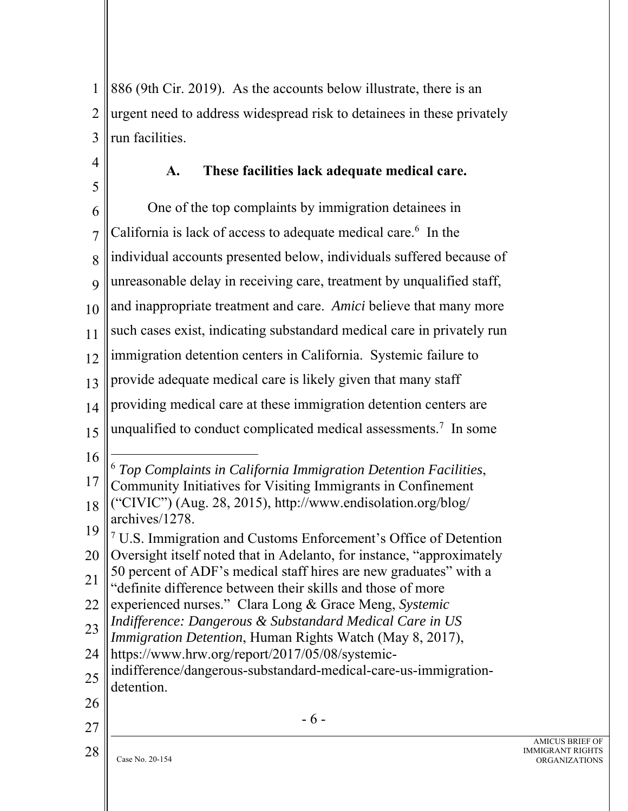1 2 3 886 (9th Cir. 2019). As the accounts below illustrate, there is an urgent need to address widespread risk to detainees in these privately run facilities.

4 5

## **A. These facilities lack adequate medical care.**

- 6 - Case No. 20-154 6 7 8  $\overline{Q}$ 10 11 12 13 14 15 16 17 18 19 20 21 22 23 24 25 26 27 28 One of the top complaints by immigration detainees in California is lack of access to adequate medical care. $6$  In the individual accounts presented below, individuals suffered because of unreasonable delay in receiving care, treatment by unqualified staff, and inappropriate treatment and care. *Amici* believe that many more such cases exist, indicating substandard medical care in privately run immigration detention centers in California. Systemic failure to provide adequate medical care is likely given that many staff providing medical care at these immigration detention centers are unqualified to conduct complicated medical assessments.<sup>7</sup> In some <sup>6</sup> *Top Complaints in California Immigration Detention Facilities*, Community Initiatives for Visiting Immigrants in Confinement ("CIVIC") (Aug. 28, 2015), http://www.endisolation.org/blog/ archives/1278. 7 U.S. Immigration and Customs Enforcement's Office of Detention Oversight itself noted that in Adelanto, for instance, "approximately 50 percent of ADF's medical staff hires are new graduates" with a "definite difference between their skills and those of more experienced nurses." Clara Long & Grace Meng, *Systemic Indifference: Dangerous & Substandard Medical Care in US Immigration Detention*, Human Rights Watch (May 8, 2017), https://www.hrw.org/report/2017/05/08/systemicindifference/dangerous-substandard-medical-care-us-immigrationdetention.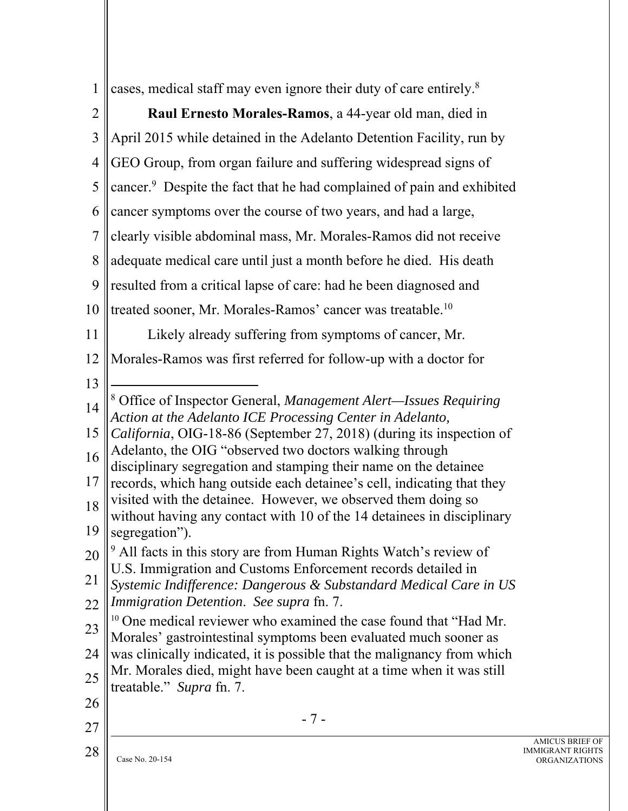| 1              | cases, medical staff may even ignore their duty of care entirely. <sup>8</sup>                                                              |    |
|----------------|---------------------------------------------------------------------------------------------------------------------------------------------|----|
| $\overline{2}$ | Raul Ernesto Morales-Ramos, a 44-year old man, died in                                                                                      |    |
| $\overline{3}$ | April 2015 while detained in the Adelanto Detention Facility, run by                                                                        |    |
| $\overline{4}$ | GEO Group, from organ failure and suffering widespread signs of                                                                             |    |
| 5              | cancer. <sup>9</sup> Despite the fact that he had complained of pain and exhibited                                                          |    |
| 6              | cancer symptoms over the course of two years, and had a large,                                                                              |    |
| 7              | clearly visible abdominal mass, Mr. Morales-Ramos did not receive                                                                           |    |
| 8              | adequate medical care until just a month before he died. His death                                                                          |    |
| 9              | resulted from a critical lapse of care: had he been diagnosed and                                                                           |    |
| 10             | treated sooner, Mr. Morales-Ramos' cancer was treatable. <sup>10</sup>                                                                      |    |
| 11             | Likely already suffering from symptoms of cancer, Mr.                                                                                       |    |
| 12             | Morales-Ramos was first referred for follow-up with a doctor for                                                                            |    |
| 13             |                                                                                                                                             |    |
| 14             | <sup>8</sup> Office of Inspector General, Management Alert-Issues Requiring                                                                 |    |
| 15             | Action at the Adelanto ICE Processing Center in Adelanto,<br><i>California</i> , OIG-18-86 (September 27, 2018) (during its inspection of   |    |
| 16             | Adelanto, the OIG "observed two doctors walking through                                                                                     |    |
| 17             | disciplinary segregation and stamping their name on the detainee<br>records, which hang outside each detainee's cell, indicating that they  |    |
| 18             | visited with the detainee. However, we observed them doing so                                                                               |    |
| 19             | without having any contact with 10 of the 14 detainees in disciplinary<br>segregation").                                                    |    |
| 20             | <sup>9</sup> All facts in this story are from Human Rights Watch's review of                                                                |    |
| 21             | U.S. Immigration and Customs Enforcement records detailed in<br>Systemic Indifference: Dangerous & Substandard Medical Care in US           |    |
| 22             | Immigration Detention. See supra fn. 7.                                                                                                     |    |
| 23             | <sup>10</sup> One medical reviewer who examined the case found that "Had Mr.                                                                |    |
| 24             | Morales' gastrointestinal symptoms been evaluated much sooner as<br>was clinically indicated, it is possible that the malignancy from which |    |
| 25             | Mr. Morales died, might have been caught at a time when it was still                                                                        |    |
| 26             | treatable." Supra fn. 7.                                                                                                                    |    |
| 27             | $-7-$                                                                                                                                       |    |
| 28             |                                                                                                                                             | IM |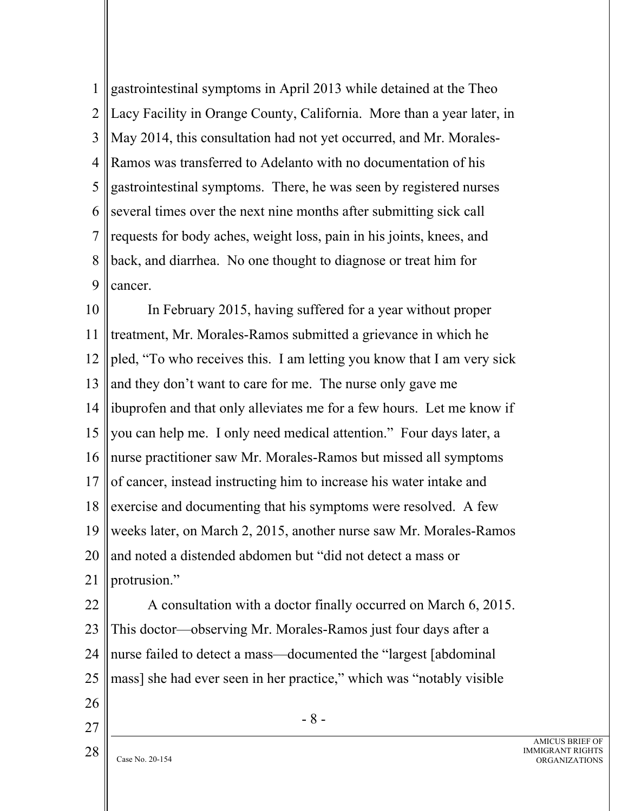1 2 3 4 5 6 7 8 9 gastrointestinal symptoms in April 2013 while detained at the Theo Lacy Facility in Orange County, California. More than a year later, in May 2014, this consultation had not yet occurred, and Mr. Morales-Ramos was transferred to Adelanto with no documentation of his gastrointestinal symptoms. There, he was seen by registered nurses several times over the next nine months after submitting sick call requests for body aches, weight loss, pain in his joints, knees, and back, and diarrhea. No one thought to diagnose or treat him for cancer.

10 11 12 13 14 15 16 17 18 19 20 21 22 23 24 In February 2015, having suffered for a year without proper treatment, Mr. Morales-Ramos submitted a grievance in which he pled, "To who receives this. I am letting you know that I am very sick and they don't want to care for me. The nurse only gave me ibuprofen and that only alleviates me for a few hours. Let me know if you can help me. I only need medical attention." Four days later, a nurse practitioner saw Mr. Morales-Ramos but missed all symptoms of cancer, instead instructing him to increase his water intake and exercise and documenting that his symptoms were resolved. A few weeks later, on March 2, 2015, another nurse saw Mr. Morales-Ramos and noted a distended abdomen but "did not detect a mass or protrusion." A consultation with a doctor finally occurred on March 6, 2015. This doctor—observing Mr. Morales-Ramos just four days after a nurse failed to detect a mass—documented the "largest [abdominal

25 mass] she had ever seen in her practice," which was "notably visible

26

27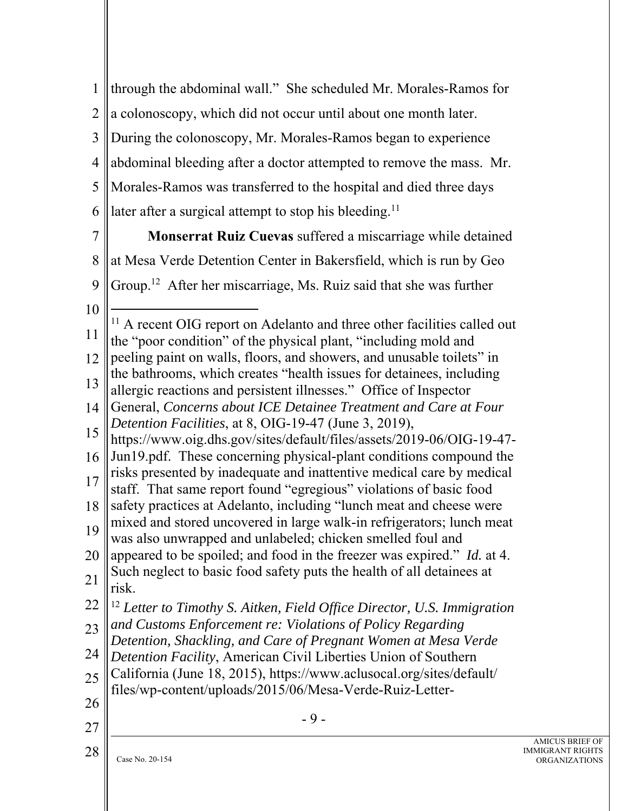- 9 - 1 2 3 4 5 6 7 8 9 10 11 12 13 14 15 16 17 18 19 20 21 22 23 24 25 26 27 28 through the abdominal wall." She scheduled Mr. Morales-Ramos for a colonoscopy, which did not occur until about one month later. During the colonoscopy, Mr. Morales-Ramos began to experience abdominal bleeding after a doctor attempted to remove the mass. Mr. Morales-Ramos was transferred to the hospital and died three days later after a surgical attempt to stop his bleeding.<sup>11</sup> **Monserrat Ruiz Cuevas** suffered a miscarriage while detained at Mesa Verde Detention Center in Bakersfield, which is run by Geo Group.12 After her miscarriage, Ms. Ruiz said that she was further <sup>11</sup> A recent OIG report on Adelanto and three other facilities called out the "poor condition" of the physical plant, "including mold and peeling paint on walls, floors, and showers, and unusable toilets" in the bathrooms, which creates "health issues for detainees, including allergic reactions and persistent illnesses." Office of Inspector General, *Concerns about ICE Detainee Treatment and Care at Four Detention Facilities*, at 8, OIG-19-47 (June 3, 2019), https://www.oig.dhs.gov/sites/default/files/assets/2019-06/OIG-19-47- Jun19.pdf. These concerning physical-plant conditions compound the risks presented by inadequate and inattentive medical care by medical staff. That same report found "egregious" violations of basic food safety practices at Adelanto, including "lunch meat and cheese were mixed and stored uncovered in large walk-in refrigerators; lunch meat was also unwrapped and unlabeled; chicken smelled foul and appeared to be spoiled; and food in the freezer was expired." *Id.* at 4. Such neglect to basic food safety puts the health of all detainees at risk. <sup>12</sup> Letter to Timothy S. Aitken, Field Office Director, U.S. Immigration *and Customs Enforcement re: Violations of Policy Regarding Detention, Shackling, and Care of Pregnant Women at Mesa Verde Detention Facility*, American Civil Liberties Union of Southern California (June 18, 2015), https://www.aclusocal.org/sites/default/ files/wp-content/uploads/2015/06/Mesa-Verde-Ruiz-Letter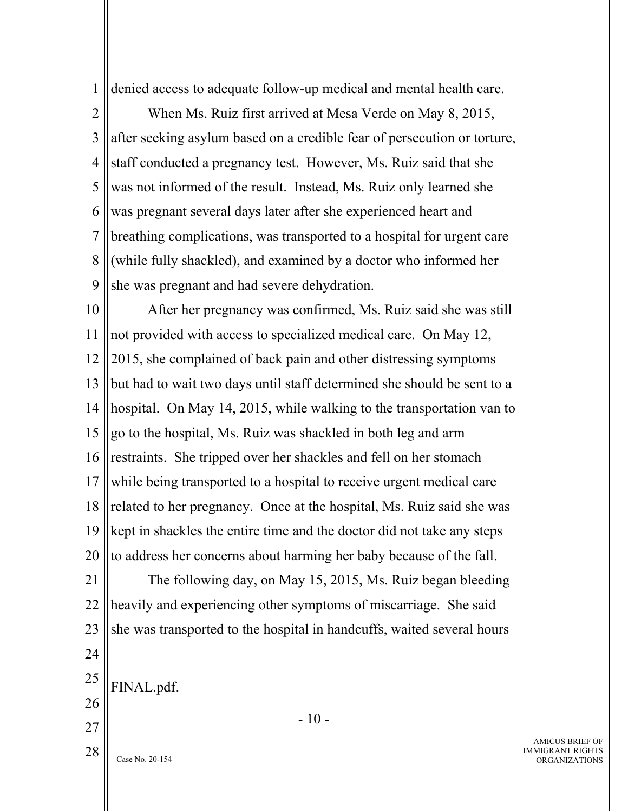1 denied access to adequate follow-up medical and mental health care.

2 3 4 5 6 7 8 9 When Ms. Ruiz first arrived at Mesa Verde on May 8, 2015, after seeking asylum based on a credible fear of persecution or torture, staff conducted a pregnancy test. However, Ms. Ruiz said that she was not informed of the result. Instead, Ms. Ruiz only learned she was pregnant several days later after she experienced heart and breathing complications, was transported to a hospital for urgent care (while fully shackled), and examined by a doctor who informed her she was pregnant and had severe dehydration.

10 11 12 13 14 15 16 17 18 19 20 21 22 23 24 25 26 After her pregnancy was confirmed, Ms. Ruiz said she was still not provided with access to specialized medical care. On May 12, 2015, she complained of back pain and other distressing symptoms but had to wait two days until staff determined she should be sent to a hospital. On May 14, 2015, while walking to the transportation van to go to the hospital, Ms. Ruiz was shackled in both leg and arm restraints. She tripped over her shackles and fell on her stomach while being transported to a hospital to receive urgent medical care related to her pregnancy. Once at the hospital, Ms. Ruiz said she was kept in shackles the entire time and the doctor did not take any steps to address her concerns about harming her baby because of the fall. The following day, on May 15, 2015, Ms. Ruiz began bleeding heavily and experiencing other symptoms of miscarriage. She said she was transported to the hospital in handcuffs, waited several hours FINAL.pdf.

 $-10-$ 

27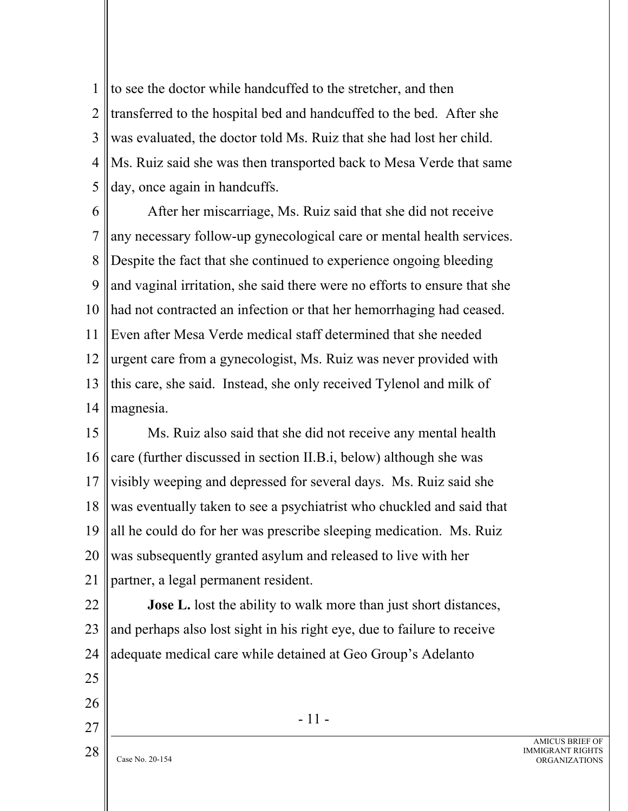1 2 3 4 5 to see the doctor while handcuffed to the stretcher, and then transferred to the hospital bed and handcuffed to the bed. After she was evaluated, the doctor told Ms. Ruiz that she had lost her child. Ms. Ruiz said she was then transported back to Mesa Verde that same day, once again in handcuffs.

6 7 8 9 10 11 12 13 14 After her miscarriage, Ms. Ruiz said that she did not receive any necessary follow-up gynecological care or mental health services. Despite the fact that she continued to experience ongoing bleeding and vaginal irritation, she said there were no efforts to ensure that she had not contracted an infection or that her hemorrhaging had ceased. Even after Mesa Verde medical staff determined that she needed urgent care from a gynecologist, Ms. Ruiz was never provided with this care, she said. Instead, she only received Tylenol and milk of magnesia.

15 16 17 18 19 20 21 Ms. Ruiz also said that she did not receive any mental health care (further discussed in section II.B.i, below) although she was visibly weeping and depressed for several days. Ms. Ruiz said she was eventually taken to see a psychiatrist who chuckled and said that all he could do for her was prescribe sleeping medication. Ms. Ruiz was subsequently granted asylum and released to live with her partner, a legal permanent resident.

22 23 24 **Jose L.** lost the ability to walk more than just short distances, and perhaps also lost sight in his right eye, due to failure to receive adequate medical care while detained at Geo Group's Adelanto

- 25 26
- 27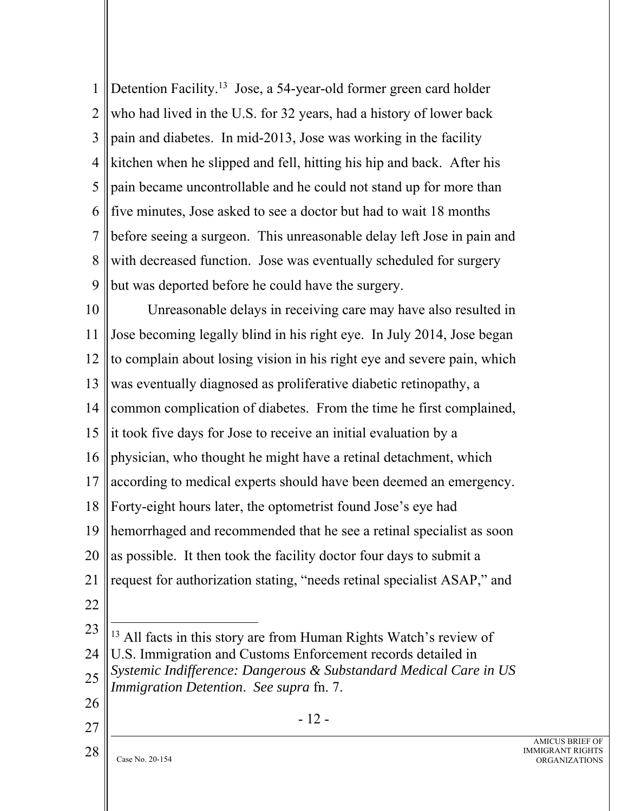1 2 3 4 5 6 7 8 9 Detention Facility.<sup>13</sup> Jose, a 54-year-old former green card holder who had lived in the U.S. for 32 years, had a history of lower back pain and diabetes. In mid-2013, Jose was working in the facility kitchen when he slipped and fell, hitting his hip and back. After his pain became uncontrollable and he could not stand up for more than five minutes, Jose asked to see a doctor but had to wait 18 months before seeing a surgeon. This unreasonable delay left Jose in pain and with decreased function. Jose was eventually scheduled for surgery but was deported before he could have the surgery.

10 11 12 13 14 15 16 17 18 19 20 21 22 23 24 25 Unreasonable delays in receiving care may have also resulted in Jose becoming legally blind in his right eye. In July 2014, Jose began to complain about losing vision in his right eye and severe pain, which was eventually diagnosed as proliferative diabetic retinopathy, a common complication of diabetes. From the time he first complained, it took five days for Jose to receive an initial evaluation by a physician, who thought he might have a retinal detachment, which according to medical experts should have been deemed an emergency. Forty-eight hours later, the optometrist found Jose's eye had hemorrhaged and recommended that he see a retinal specialist as soon as possible. It then took the facility doctor four days to submit a request for authorization stating, "needs retinal specialist ASAP," and <sup>13</sup> All facts in this story are from Human Rights Watch's review of U.S. Immigration and Customs Enforcement records detailed in *Systemic Indifference: Dangerous & Substandard Medical Care in US Immigration Detention*. *See supra* fn. 7.

26 27

- 12 -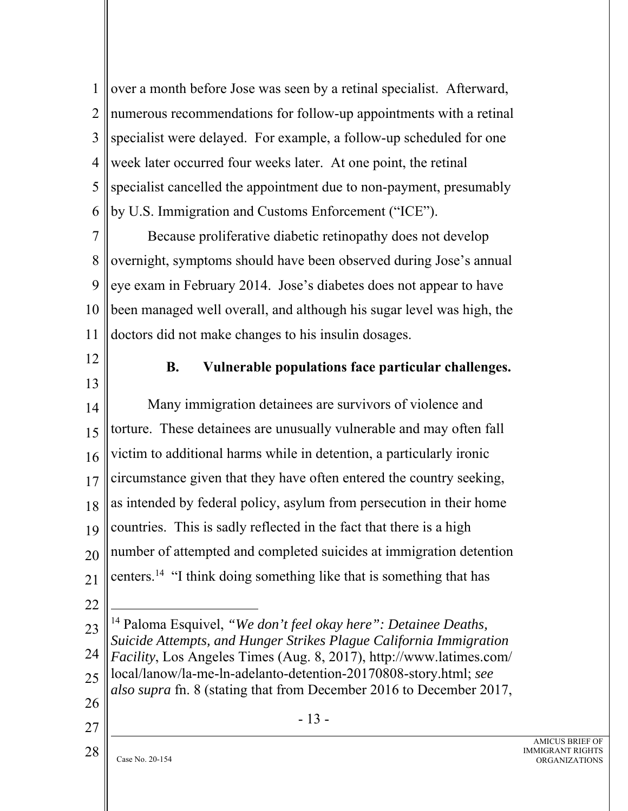1 2 3 4 5 6 over a month before Jose was seen by a retinal specialist. Afterward, numerous recommendations for follow-up appointments with a retinal specialist were delayed. For example, a follow-up scheduled for one week later occurred four weeks later. At one point, the retinal specialist cancelled the appointment due to non-payment, presumably by U.S. Immigration and Customs Enforcement ("ICE").

7 8 9 10 11 Because proliferative diabetic retinopathy does not develop overnight, symptoms should have been observed during Jose's annual eye exam in February 2014. Jose's diabetes does not appear to have been managed well overall, and although his sugar level was high, the doctors did not make changes to his insulin dosages.

12

13

#### **B. Vulnerable populations face particular challenges.**

14 15 16 17 18 19 20 21 22 23 Many immigration detainees are survivors of violence and torture. These detainees are unusually vulnerable and may often fall victim to additional harms while in detention, a particularly ironic circumstance given that they have often entered the country seeking, as intended by federal policy, asylum from persecution in their home countries. This is sadly reflected in the fact that there is a high number of attempted and completed suicides at immigration detention centers.14 "I think doing something like that is something that has 14 Paloma Esquivel, *"We don't feel okay here": Detainee Deaths,* 

24 25 *Suicide Attempts, and Hunger Strikes Plague California Immigration Facility*, Los Angeles Times (Aug. 8, 2017), http://www.latimes.com/ local/lanow/la-me-ln-adelanto-detention-20170808-story.html; *see* 

*also supra* fn. 8 (stating that from December 2016 to December 2017,

- 13 -

- 26
- 27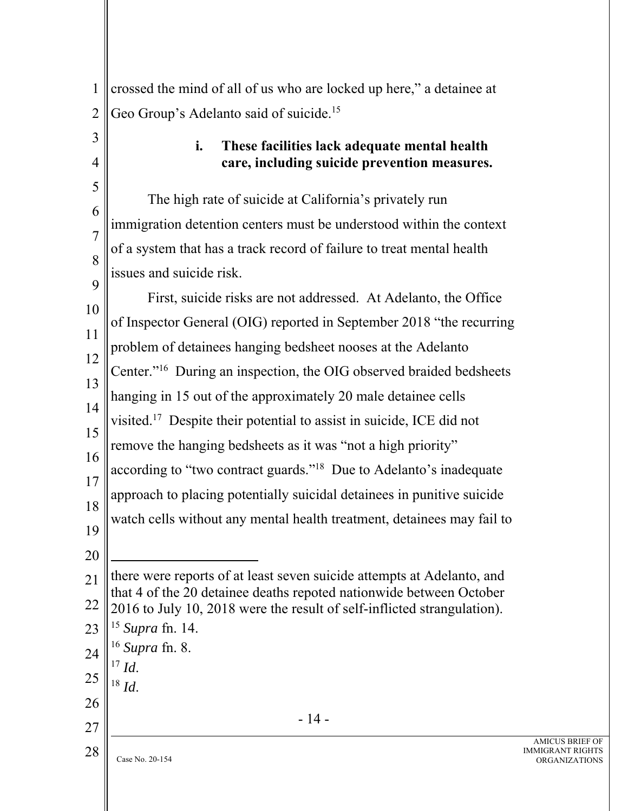| 1              | crossed the mind of all of us who are locked up here," a detainee at                                                                          |     |
|----------------|-----------------------------------------------------------------------------------------------------------------------------------------------|-----|
| $\overline{2}$ | Geo Group's Adelanto said of suicide. <sup>15</sup>                                                                                           |     |
| 3              | These facilities lack adequate mental health<br>i.                                                                                            |     |
| $\overline{4}$ | care, including suicide prevention measures.                                                                                                  |     |
| 5              |                                                                                                                                               |     |
| 6              | The high rate of suicide at California's privately run                                                                                        |     |
| $\overline{7}$ | immigration detention centers must be understood within the context                                                                           |     |
| 8              | of a system that has a track record of failure to treat mental health                                                                         |     |
| 9              | issues and suicide risk.                                                                                                                      |     |
| 10             | First, suicide risks are not addressed. At Adelanto, the Office                                                                               |     |
| 11             | of Inspector General (OIG) reported in September 2018 "the recurring                                                                          |     |
| 12             | problem of detainees hanging bedsheet nooses at the Adelanto                                                                                  |     |
|                | Center." <sup>16</sup> During an inspection, the OIG observed braided bedsheets                                                               |     |
| 13             | hanging in 15 out of the approximately 20 male detainee cells                                                                                 |     |
| 14             | visited. <sup>17</sup> Despite their potential to assist in suicide, ICE did not                                                              |     |
| 15             | remove the hanging bedsheets as it was "not a high priority"                                                                                  |     |
| 16             | according to "two contract guards." <sup>18</sup> Due to Adelanto's inadequate                                                                |     |
| 17             | approach to placing potentially suicidal detainees in punitive suicide                                                                        |     |
| 18             | watch cells without any mental health treatment, detainees may fail to                                                                        |     |
| 19             |                                                                                                                                               |     |
| 20             |                                                                                                                                               |     |
| 21             | there were reports of at least seven suicide attempts at Adelanto, and<br>that 4 of the 20 detainee deaths repoted nationwide between October |     |
| 22             | 2016 to July 10, 2018 were the result of self-inflicted strangulation).                                                                       |     |
| 23             | $15$ Supra fn. 14.                                                                                                                            |     |
| 24             | $16$ Supra fn. 8.                                                                                                                             |     |
| 25             | $^{17}$ <i>Id.</i><br>$18$ <i>Id.</i>                                                                                                         |     |
| 26             |                                                                                                                                               |     |
| 27             | $-14-$                                                                                                                                        |     |
| 28             | Case No. 20-154                                                                                                                               | IN. |
|                |                                                                                                                                               |     |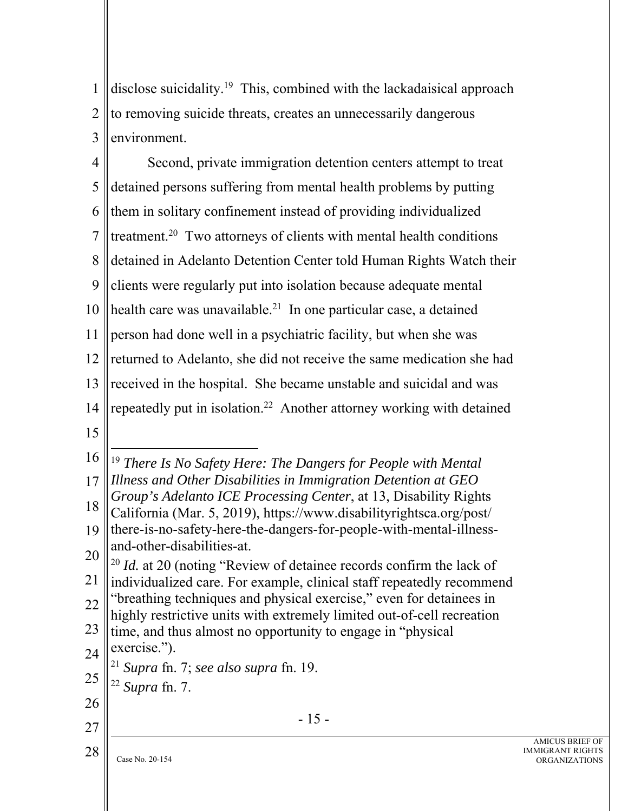1 2 3 disclose suicidality.19 This, combined with the lackadaisical approach to removing suicide threats, creates an unnecessarily dangerous environment.

- 15 - 4 5 6 7 8 9 10 11 12 13 14 15 16 17 18 19 20 21 22 23 24 25 26 27 28 Second, private immigration detention centers attempt to treat detained persons suffering from mental health problems by putting them in solitary confinement instead of providing individualized treatment.20 Two attorneys of clients with mental health conditions detained in Adelanto Detention Center told Human Rights Watch their clients were regularly put into isolation because adequate mental health care was unavailable.<sup>21</sup> In one particular case, a detained person had done well in a psychiatric facility, but when she was returned to Adelanto, she did not receive the same medication she had received in the hospital. She became unstable and suicidal and was repeatedly put in isolation.22 Another attorney working with detained <sup>19</sup> *There Is No Safety Here: The Dangers for People with Mental Illness and Other Disabilities in Immigration Detention at GEO Group's Adelanto ICE Processing Center*, at 13, Disability Rights California (Mar. 5, 2019), https://www.disabilityrightsca.org/post/ there-is-no-safety-here-the-dangers-for-people-with-mental-illnessand-other-disabilities-at. <sup>20</sup> *Id.* at 20 (noting "Review of detainee records confirm the lack of individualized care. For example, clinical staff repeatedly recommend "breathing techniques and physical exercise," even for detainees in highly restrictive units with extremely limited out-of-cell recreation time, and thus almost no opportunity to engage in "physical exercise."). <sup>21</sup> *Supra* fn. 7; *see also supra* fn. 19. <sup>22</sup> *Supra* fn. 7.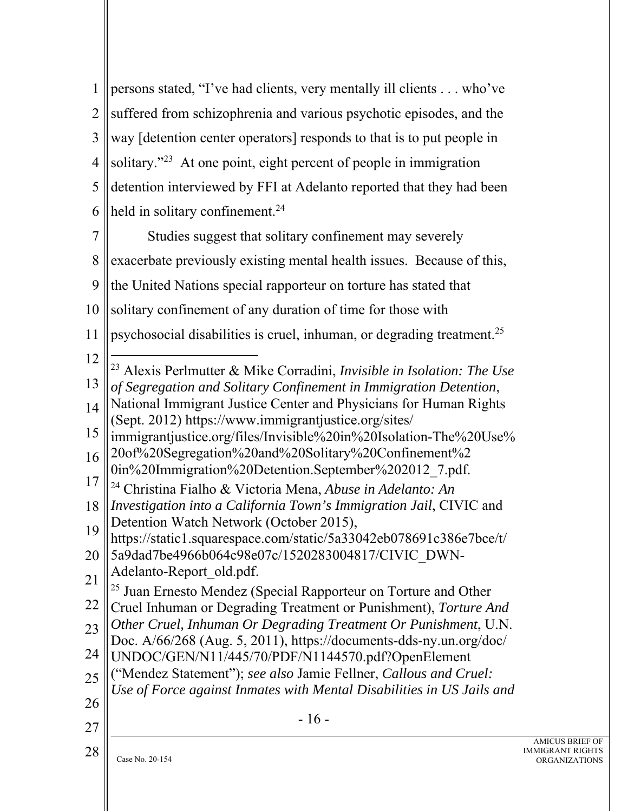- 16 - 1 2 3 4 5 6 7 8 9 10 11 12 13 14 15 16 17 18 19 20 21 22 23 24 25 26 27 28 persons stated, "I've had clients, very mentally ill clients . . . who've suffered from schizophrenia and various psychotic episodes, and the way [detention center operators] responds to that is to put people in solitary."<sup>23</sup> At one point, eight percent of people in immigration detention interviewed by FFI at Adelanto reported that they had been held in solitary confinement.<sup>24</sup> Studies suggest that solitary confinement may severely exacerbate previously existing mental health issues. Because of this, the United Nations special rapporteur on torture has stated that solitary confinement of any duration of time for those with psychosocial disabilities is cruel, inhuman, or degrading treatment.25 23 Alexis Perlmutter & Mike Corradini, *Invisible in Isolation: The Use of Segregation and Solitary Confinement in Immigration Detention*, National Immigrant Justice Center and Physicians for Human Rights (Sept. 2012) https://www.immigrantjustice.org/sites/ immigrantjustice.org/files/Invisible%20in%20Isolation-The%20Use% 20of%20Segregation%20and%20Solitary%20Confinement%2 0in%20Immigration%20Detention.September%202012\_7.pdf. 24 Christina Fialho & Victoria Mena, *Abuse in Adelanto: An Investigation into a California Town's Immigration Jail*, CIVIC and Detention Watch Network (October 2015), https://static1.squarespace.com/static/5a33042eb078691c386e7bce/t/ 5a9dad7be4966b064c98e07c/1520283004817/CIVIC\_DWN-Adelanto-Report\_old.pdf. <sup>25</sup> Juan Ernesto Mendez (Special Rapporteur on Torture and Other Cruel Inhuman or Degrading Treatment or Punishment), *Torture And Other Cruel, Inhuman Or Degrading Treatment Or Punishment*, U.N. Doc. A/66/268 (Aug. 5, 2011), https://documents-dds-ny.un.org/doc/ UNDOC/GEN/N11/445/70/PDF/N1144570.pdf?OpenElement ("Mendez Statement"); *see also* Jamie Fellner, *Callous and Cruel: Use of Force against Inmates with Mental Disabilities in US Jails and*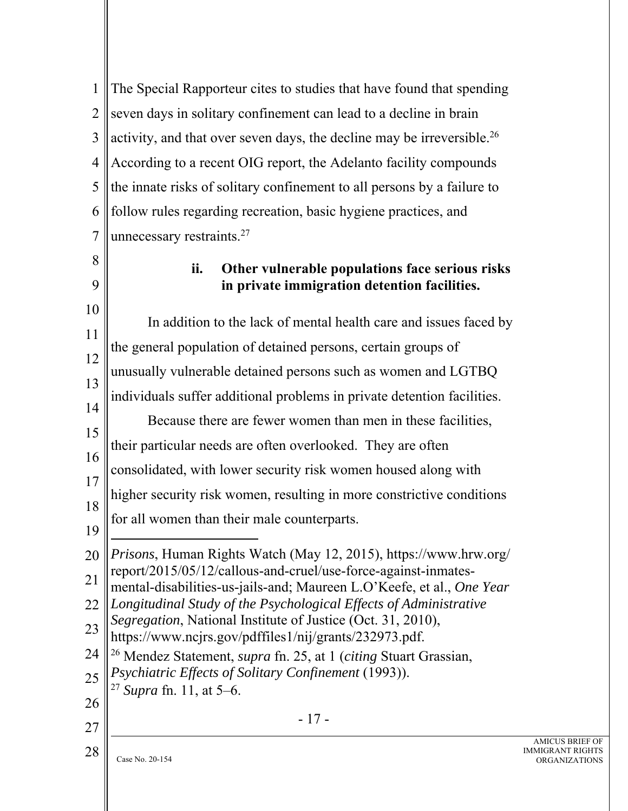- 17 - 1 2 3 4 5 6 7 8 9 10 11 12 13 14 15 16 17 18 19 20 21 22 23 24 25 26 27 28 The Special Rapporteur cites to studies that have found that spending seven days in solitary confinement can lead to a decline in brain activity, and that over seven days, the decline may be irreversible.26 According to a recent OIG report, the Adelanto facility compounds the innate risks of solitary confinement to all persons by a failure to follow rules regarding recreation, basic hygiene practices, and unnecessary restraints.<sup>27</sup> **ii. Other vulnerable populations face serious risks in private immigration detention facilities.**  In addition to the lack of mental health care and issues faced by the general population of detained persons, certain groups of unusually vulnerable detained persons such as women and LGTBQ individuals suffer additional problems in private detention facilities. Because there are fewer women than men in these facilities, their particular needs are often overlooked. They are often consolidated, with lower security risk women housed along with higher security risk women, resulting in more constrictive conditions for all women than their male counterparts. *Prisons*, Human Rights Watch (May 12, 2015), https://www.hrw.org/ report/2015/05/12/callous-and-cruel/use-force-against-inmatesmental-disabilities-us-jails-and; Maureen L.O'Keefe, et al., *One Year Longitudinal Study of the Psychological Effects of Administrative Segregation*, National Institute of Justice (Oct. 31, 2010), https://www.ncjrs.gov/pdffiles1/nij/grants/232973.pdf. 26 Mendez Statement, *supra* fn. 25, at 1 (*citing* Stuart Grassian, *Psychiatric Effects of Solitary Confinement* (1993)). <sup>27</sup> *Supra* fn. 11, at 5–6.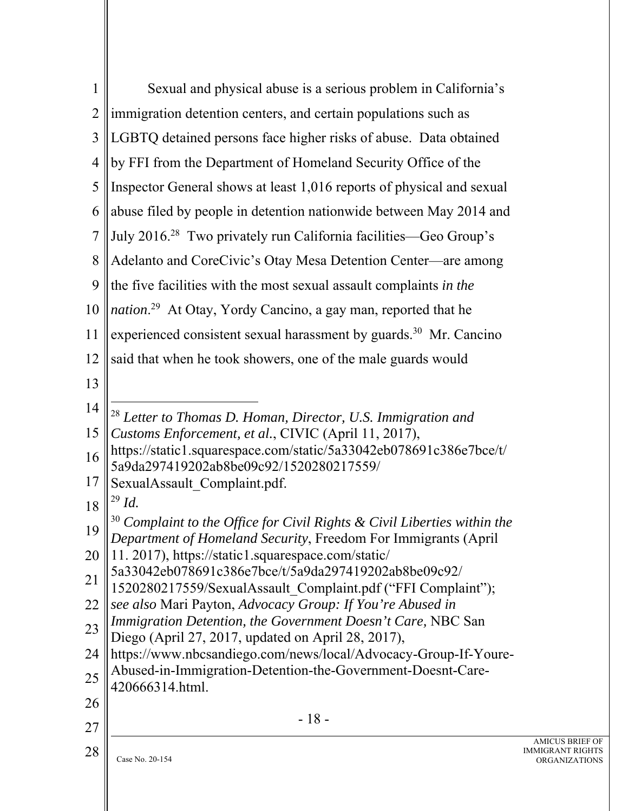| $\mathbf{1}$    | Sexual and physical abuse is a serious problem in California's                                                                               |
|-----------------|----------------------------------------------------------------------------------------------------------------------------------------------|
| 2               | immigration detention centers, and certain populations such as                                                                               |
| 3               | LGBTQ detained persons face higher risks of abuse. Data obtained                                                                             |
| 4               | by FFI from the Department of Homeland Security Office of the                                                                                |
| 5               | Inspector General shows at least 1,016 reports of physical and sexual                                                                        |
| 6               | abuse filed by people in detention nationwide between May 2014 and                                                                           |
| 7               | July 2016. <sup>28</sup> Two privately run California facilities—Geo Group's                                                                 |
| 8               | Adelanto and CoreCivic's Otay Mesa Detention Center-are among                                                                                |
| 9               | the five facilities with the most sexual assault complaints in the                                                                           |
| 10              | nation. <sup>29</sup> At Otay, Yordy Cancino, a gay man, reported that he                                                                    |
| 11              | experienced consistent sexual harassment by guards. <sup>30</sup> Mr. Cancino                                                                |
| 12              | said that when he took showers, one of the male guards would                                                                                 |
| 13              |                                                                                                                                              |
| 14              | <sup>28</sup> Letter to Thomas D. Homan, Director, U.S. Immigration and                                                                      |
| 15              | Customs Enforcement, et al., CIVIC (April 11, 2017),                                                                                         |
| 16              | https://static1.squarespace.com/static/5a33042eb078691c386e7bce/t/<br>5a9da297419202ab8be09c92/1520280217559/                                |
| 17              | SexualAssault Complaint.pdf.                                                                                                                 |
| 18              | $29$ Id.                                                                                                                                     |
| 19              | $30$ Complaint to the Office for Civil Rights & Civil Liberties within the<br>Department of Homeland Security, Freedom For Immigrants (April |
| 20              | 11. 2017), https://static1.squarespace.com/static/                                                                                           |
| $\overline{21}$ | 5a33042eb078691c386e7bce/t/5a9da297419202ab8be09c92/<br>1520280217559/SexualAssault Complaint.pdf ("FFI Complaint");                         |
| 22              | see also Mari Payton, Advocacy Group: If You're Abused in                                                                                    |
| 23              | Immigration Detention, the Government Doesn't Care, NBC San<br>Diego (April 27, 2017, updated on April 28, 2017),                            |
| 24              | https://www.nbcsandiego.com/news/local/Advocacy-Group-If-Youre-                                                                              |
| 25              | Abused-in-Immigration-Detention-the-Government-Doesnt-Care-<br>420666314.html.                                                               |
| 26              |                                                                                                                                              |
| 27              | $-18-$                                                                                                                                       |
| 28              |                                                                                                                                              |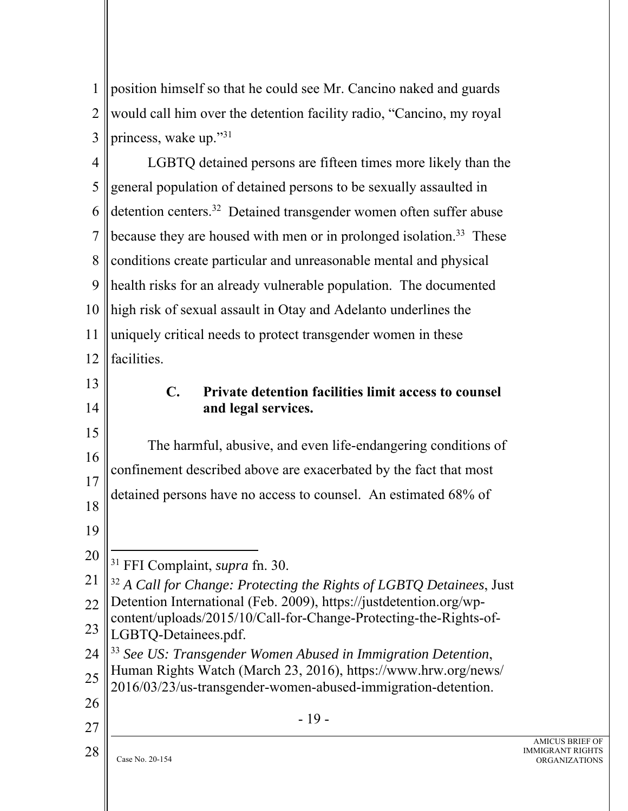1 2 3 position himself so that he could see Mr. Cancino naked and guards would call him over the detention facility radio, "Cancino, my royal princess, wake up."31

- 19 - 4 5 6 7 8 9 10 11 12 13 14 15 16 17 18 19 20 21 22 23 24 25 26 27 28 LGBTQ detained persons are fifteen times more likely than the general population of detained persons to be sexually assaulted in detention centers.32 Detained transgender women often suffer abuse because they are housed with men or in prolonged isolation.<sup>33</sup> These conditions create particular and unreasonable mental and physical health risks for an already vulnerable population. The documented high risk of sexual assault in Otay and Adelanto underlines the uniquely critical needs to protect transgender women in these facilities. **C. Private detention facilities limit access to counsel and legal services.**  The harmful, abusive, and even life-endangering conditions of confinement described above are exacerbated by the fact that most detained persons have no access to counsel. An estimated 68% of 31 FFI Complaint, *supra* fn. 30. <sup>32</sup> *A Call for Change: Protecting the Rights of LGBTQ Detainees*, Just Detention International (Feb. 2009), https://justdetention.org/wpcontent/uploads/2015/10/Call-for-Change-Protecting-the-Rights-of-LGBTQ-Detainees.pdf. <sup>33</sup> *See US: Transgender Women Abused in Immigration Detention*, Human Rights Watch (March 23, 2016), https://www.hrw.org/news/ 2016/03/23/us-transgender-women-abused-immigration-detention.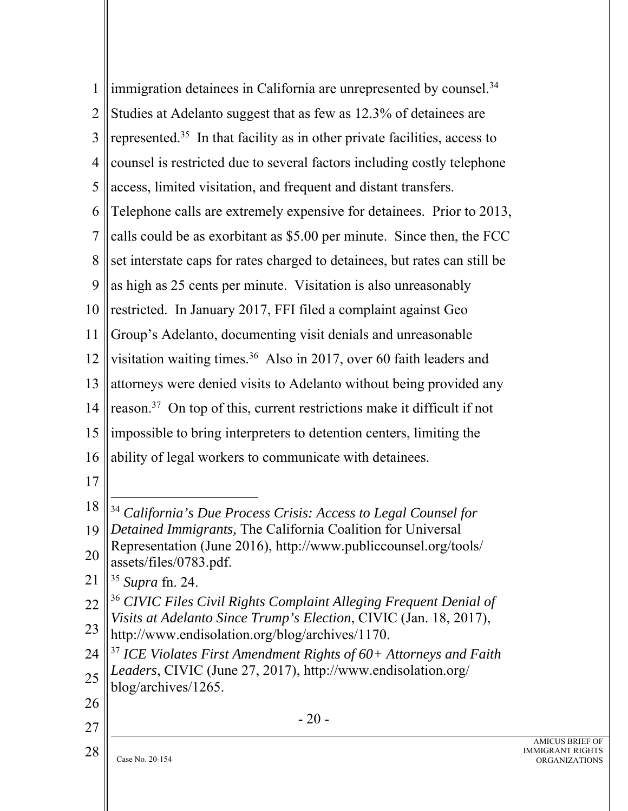| Studies at Adelanto suggest that as few as 12.3% of detainees are<br>represented. <sup>35</sup> In that facility as in other private facilities, access to<br>counsel is restricted due to several factors including costly telephone<br>Telephone calls are extremely expensive for detainees. Prior to 2013,<br>calls could be as exorbitant as \$5.00 per minute. Since then, the FCC<br>set interstate caps for rates charged to detainees, but rates can still be |  |  |
|------------------------------------------------------------------------------------------------------------------------------------------------------------------------------------------------------------------------------------------------------------------------------------------------------------------------------------------------------------------------------------------------------------------------------------------------------------------------|--|--|
|                                                                                                                                                                                                                                                                                                                                                                                                                                                                        |  |  |
|                                                                                                                                                                                                                                                                                                                                                                                                                                                                        |  |  |
|                                                                                                                                                                                                                                                                                                                                                                                                                                                                        |  |  |
|                                                                                                                                                                                                                                                                                                                                                                                                                                                                        |  |  |
|                                                                                                                                                                                                                                                                                                                                                                                                                                                                        |  |  |
|                                                                                                                                                                                                                                                                                                                                                                                                                                                                        |  |  |
|                                                                                                                                                                                                                                                                                                                                                                                                                                                                        |  |  |
|                                                                                                                                                                                                                                                                                                                                                                                                                                                                        |  |  |
|                                                                                                                                                                                                                                                                                                                                                                                                                                                                        |  |  |
|                                                                                                                                                                                                                                                                                                                                                                                                                                                                        |  |  |
| visitation waiting times. <sup>36</sup> Also in 2017, over 60 faith leaders and                                                                                                                                                                                                                                                                                                                                                                                        |  |  |
| attorneys were denied visits to Adelanto without being provided any                                                                                                                                                                                                                                                                                                                                                                                                    |  |  |
| reason. <sup>37</sup> On top of this, current restrictions make it difficult if not                                                                                                                                                                                                                                                                                                                                                                                    |  |  |
| impossible to bring interpreters to detention centers, limiting the                                                                                                                                                                                                                                                                                                                                                                                                    |  |  |
| ability of legal workers to communicate with detainees.                                                                                                                                                                                                                                                                                                                                                                                                                |  |  |
|                                                                                                                                                                                                                                                                                                                                                                                                                                                                        |  |  |
| <sup>34</sup> California's Due Process Crisis: Access to Legal Counsel for                                                                                                                                                                                                                                                                                                                                                                                             |  |  |
|                                                                                                                                                                                                                                                                                                                                                                                                                                                                        |  |  |
| Representation (June 2016), http://www.publiccounsel.org/tools/<br>assets/files/0783.pdf.                                                                                                                                                                                                                                                                                                                                                                              |  |  |
|                                                                                                                                                                                                                                                                                                                                                                                                                                                                        |  |  |
| <sup>36</sup> CIVIC Files Civil Rights Complaint Alleging Frequent Denial of                                                                                                                                                                                                                                                                                                                                                                                           |  |  |
| Visits at Adelanto Since Trump's Election, CIVIC (Jan. 18, 2017),<br>http://www.endisolation.org/blog/archives/1170.                                                                                                                                                                                                                                                                                                                                                   |  |  |
| <sup>37</sup> ICE Violates First Amendment Rights of 60+ Attorneys and Faith                                                                                                                                                                                                                                                                                                                                                                                           |  |  |
|                                                                                                                                                                                                                                                                                                                                                                                                                                                                        |  |  |
|                                                                                                                                                                                                                                                                                                                                                                                                                                                                        |  |  |
|                                                                                                                                                                                                                                                                                                                                                                                                                                                                        |  |  |
|                                                                                                                                                                                                                                                                                                                                                                                                                                                                        |  |  |